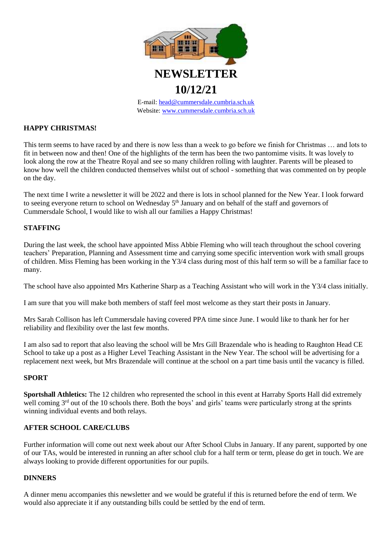

# **10/12/21**

E-mail: [head@cummersdale.cumbria.sch.uk](mailto:head@cummersdale.cumbria.sch.uk) Website: [www.cummersdale.cumbria.sch.uk](http://www.cummersdale.cumbria.sch.uk/)

## **HAPPY CHRISTMAS!**

This term seems to have raced by and there is now less than a week to go before we finish for Christmas … and lots to fit in between now and then! One of the highlights of the term has been the two pantomime visits. It was lovely to look along the row at the Theatre Royal and see so many children rolling with laughter. Parents will be pleased to know how well the children conducted themselves whilst out of school - something that was commented on by people on the day.

The next time I write a newsletter it will be 2022 and there is lots in school planned for the New Year. I look forward to seeing everyone return to school on Wednesday 5<sup>th</sup> January and on behalf of the staff and governors of Cummersdale School, I would like to wish all our families a Happy Christmas!

## **STAFFING**

During the last week, the school have appointed Miss Abbie Fleming who will teach throughout the school covering teachers' Preparation, Planning and Assessment time and carrying some specific intervention work with small groups of children. Miss Fleming has been working in the Y3/4 class during most of this half term so will be a familiar face to many.

The school have also appointed Mrs Katherine Sharp as a Teaching Assistant who will work in the Y3/4 class initially.

I am sure that you will make both members of staff feel most welcome as they start their posts in January.

Mrs Sarah Collison has left Cummersdale having covered PPA time since June. I would like to thank her for her reliability and flexibility over the last few months.

I am also sad to report that also leaving the school will be Mrs Gill Brazendale who is heading to Raughton Head CE School to take up a post as a Higher Level Teaching Assistant in the New Year. The school will be advertising for a replacement next week, but Mrs Brazendale will continue at the school on a part time basis until the vacancy is filled.

#### **SPORT**

**Sportshall Athletics:** The 12 children who represented the school in this event at Harraby Sports Hall did extremely well coming 3<sup>rd</sup> out of the 10 schools there. Both the boys' and girls' teams were particularly strong at the sprints winning individual events and both relays.

#### **AFTER SCHOOL CARE/CLUBS**

Further information will come out next week about our After School Clubs in January. If any parent, supported by one of our TAs, would be interested in running an after school club for a half term or term, please do get in touch. We are always looking to provide different opportunities for our pupils.

#### **DINNERS**

A dinner menu accompanies this newsletter and we would be grateful if this is returned before the end of term. We would also appreciate it if any outstanding bills could be settled by the end of term.